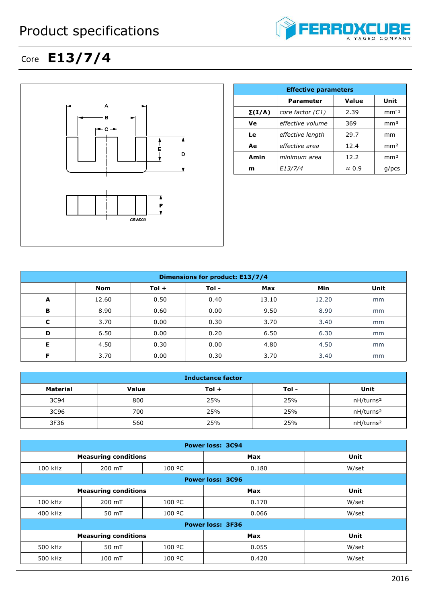## Product specifications



## Core **E13/7/4**



|               | <b>Effective parameters</b> |               |                 |  |  |
|---------------|-----------------------------|---------------|-----------------|--|--|
|               | <b>Parameter</b>            | Value         | Unit            |  |  |
| $\Sigma(I/A)$ | core factor (C1)            | 2.39          | $mm-1$          |  |  |
| Ve            | effective volume            | 369           | mm <sup>3</sup> |  |  |
| Le            | effective length            | 29.7          | mm              |  |  |
| Ae            | effective area              | 12.4          | mm <sup>2</sup> |  |  |
| Amin          | minimum area                | 12.2          | mm <sup>2</sup> |  |  |
| m             | E13/7/4                     | $\approx 0.9$ | $q$ /pcs        |  |  |

| <b>Dimensions for product: E13/7/4</b> |       |         |       |            |       |      |
|----------------------------------------|-------|---------|-------|------------|-------|------|
|                                        | Nom   | $Tol +$ | Tol - | <b>Max</b> | Min   | Unit |
| A                                      | 12.60 | 0.50    | 0.40  | 13.10      | 12.20 | mm   |
| B                                      | 8.90  | 0.60    | 0.00  | 9.50       | 8.90  | mm   |
| C                                      | 3.70  | 0.00    | 0.30  | 3.70       | 3.40  | mm   |
| D                                      | 6.50  | 0.00    | 0.20  | 6.50       | 6.30  | mm   |
| Е                                      | 4.50  | 0.30    | 0.00  | 4.80       | 4.50  | mm   |
| Е                                      | 3.70  | 0.00    | 0.30  | 3.70       | 3.40  | mm   |

| <b>Inductance factor</b> |       |         |       |                       |
|--------------------------|-------|---------|-------|-----------------------|
| Material                 | Value | $Tol +$ | Tol - | Unit                  |
| 3C94                     | 800   | 25%     | 25%   | nH/turns <sup>2</sup> |
| 3C96                     | 700   | 25%     | 25%   | nH/turns <sup>2</sup> |
| 3F36                     | 560   | 25%     | 25%   | nH/turns <sup>2</sup> |

| <b>Power loss: 3C94</b> |                             |        |            |             |  |
|-------------------------|-----------------------------|--------|------------|-------------|--|
|                         | <b>Measuring conditions</b> |        | <b>Max</b> | <b>Unit</b> |  |
| 100 kHz                 | 200 mT                      | 100 °C | 0.180      | W/set       |  |
|                         | <b>Power loss: 3C96</b>     |        |            |             |  |
|                         | <b>Measuring conditions</b> |        | Max        | <b>Unit</b> |  |
| 100 kHz                 | 200 mT                      | 100 °C | 0.170      | W/set       |  |
| 400 kHz                 | 50 mT                       | 100 °C | 0.066      | W/set       |  |
| <b>Power loss: 3F36</b> |                             |        |            |             |  |
|                         | <b>Measuring conditions</b> |        | <b>Max</b> | <b>Unit</b> |  |
| 500 kHz                 | 50 mT                       | 100 °C | 0.055      | W/set       |  |
| 500 kHz                 | 100 mT                      | 100 °C | 0.420      | W/set       |  |